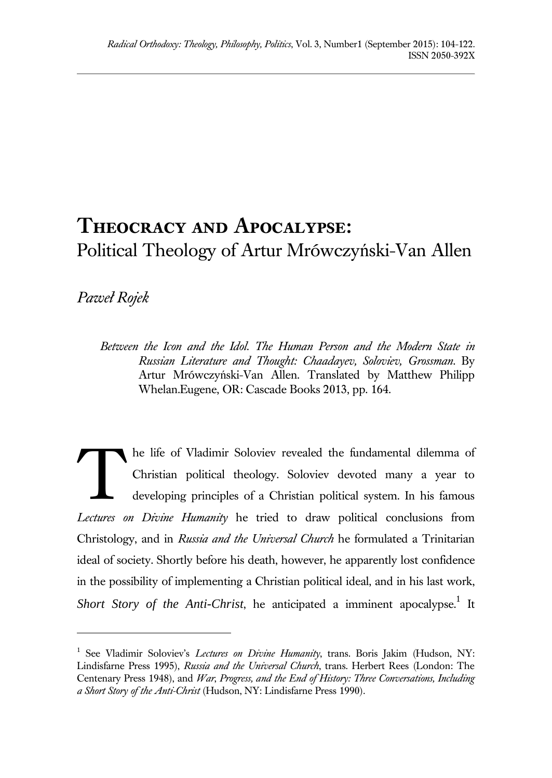# **Theocracy and Apocalypse:** Political Theology of Artur Mrówczyński-Van Allen

## *Paweł Rojek*

l

*Between the Icon and the Idol. The Human Person and the Modern State in Russian Literature and Thought: Chaadayev, Soloviev, Grossman*. By Artur Mrówczyński-Van Allen. Translated by Matthew Philipp Whelan.Eugene, OR: Cascade Books 2013, pp. 164.

he life of Vladimir Soloviev revealed the fundamental dilemma of Christian political theology. Soloviev devoted many a year to developing principles of a Christian political system. In his famous *Lectures on Divine Humanity* he tried to draw political conclusions from Christology, and in *Russia and the Universal Church* he formulated a Trinitarian ideal of society. Shortly before his death, however, he apparently lost confidence in the possibility of implementing a Christian political ideal, and in his last work, Short Story of the Anti-Christ, he anticipated a imminent apocalypse.<sup>1</sup> It T

<sup>&</sup>lt;sup>1</sup> See Vladimir Soloviev's *Lectures on Divine Humanity*, trans. Boris Jakim (Hudson, NY: Lindisfarne Press 1995), *Russia and the Universal Church*, trans. Herbert Rees (London: The Centenary Press 1948), and *War*, *Progress, and the End of History: Three Conversations, Including a Short Story of the Anti-Christ* (Hudson, NY: Lindisfarne Press 1990).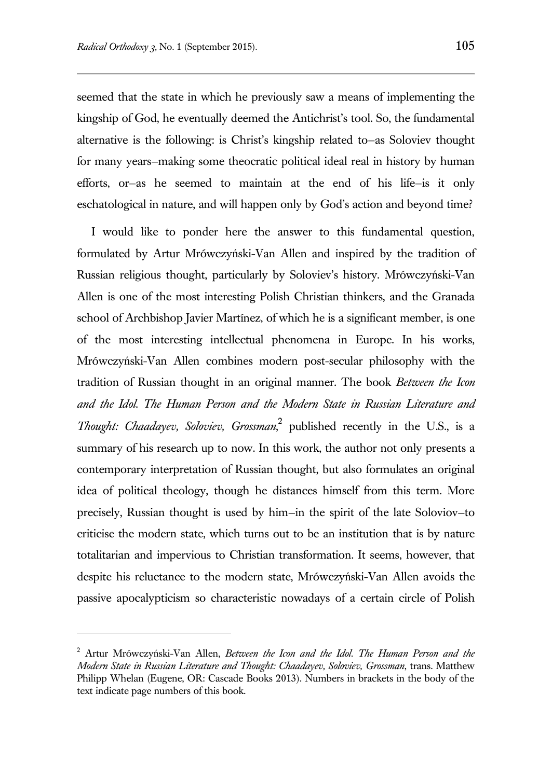seemed that the state in which he previously saw a means of implementing the kingship of God, he eventually deemed the Antichrist's tool. So, the fundamental alternative is the following: is Christ's kingship related to—as Soloviev thought for many years—making some theocratic political ideal real in history by human efforts, or—as he seemed to maintain at the end of his life—is it only eschatological in nature, and will happen only by God's action and beyond time?

I would like to ponder here the answer to this fundamental question, formulated by Artur Mrówczyński-Van Allen and inspired by the tradition of Russian religious thought, particularly by Soloviev's history. Mrówczyński-Van Allen is one of the most interesting Polish Christian thinkers, and the Granada school of Archbishop Javier Martínez, of which he is a significant member, is one of the most interesting intellectual phenomena in Europe. In his works, Mrówczyński-Van Allen combines modern post-secular philosophy with the tradition of Russian thought in an original manner. The book *Between the Icon and the Idol. The Human Person and the Modern State in Russian Literature and Thought: Chaadayev, Soloviev, Grossman*, 2 published recently in the U.S., is a summary of his research up to now. In this work, the author not only presents a contemporary interpretation of Russian thought, but also formulates an original idea of political theology, though he distances himself from this term. More precisely, Russian thought is used by him—in the spirit of the late Soloviov—to criticise the modern state, which turns out to be an institution that is by nature totalitarian and impervious to Christian transformation. It seems, however, that despite his reluctance to the modern state, Mrówczyński-Van Allen avoids the passive apocalypticism so characteristic nowadays of a certain circle of Polish

<sup>2</sup> Artur Mrówczyński-Van Allen, *Between the Icon and the Idol. The Human Person and the Modern State in Russian Literature and Thought: Chaadayev, Soloviev, Grossman*, trans. Matthew Philipp Whelan (Eugene, OR: Cascade Books 2013). Numbers in brackets in the body of the text indicate page numbers of this book.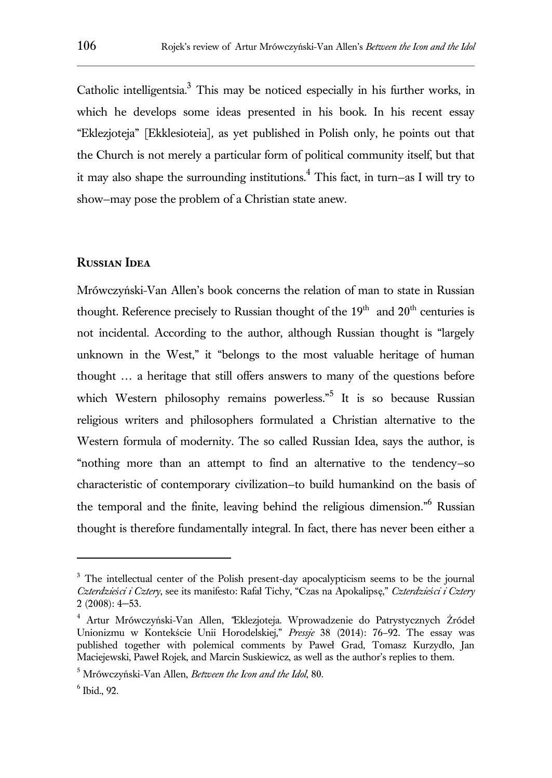Catholic intelligentsia.<sup>3</sup> This may be noticed especially in his further works, in which he develops some ideas presented in his book. In his recent essay "Eklezjoteja" [Ekklesioteia]*,* as yet published in Polish only, he points out that the Church is not merely a particular form of political community itself, but that it may also shape the surrounding institutions.<sup>4</sup> This fact, in turn–as I will try to show—may pose the problem of a Christian state anew.

### **Russian Idea**

Mrówczyński-Van Allen's book concerns the relation of man to state in Russian thought. Reference precisely to Russian thought of the  $19<sup>th</sup>$  and  $20<sup>th</sup>$  centuries is not incidental. According to the author, although Russian thought is "largely unknown in the West," it "belongs to the most valuable heritage of human thought … a heritage that still offers answers to many of the questions before which Western philosophy remains powerless."<sup>5</sup> It is so because Russian religious writers and philosophers formulated a Christian alternative to the Western formula of modernity. The so called Russian Idea, says the author, is "nothing more than an attempt to find an alternative to the tendency—so characteristic of contemporary civilization—to build humankind on the basis of the temporal and the finite, leaving behind the religious dimension." Russian thought is therefore fundamentally integral. In fact, there has never been either a

<sup>&</sup>lt;sup>3</sup> The intellectual center of the Polish present-day apocalypticism seems to be the journal *Czterdzieści i Cztery*, see its manifesto: Rafał Tichy, "Czas na Apokalipsę," *Czterdzieści i Cztery* 2 (2008): 4−53.

<sup>4</sup> Artur Mrówczyński-Van Allen, *"*Eklezjoteja. Wprowadzenie do Patrystycznych Źródeł Unionizmu w Kontekście Unii Horodelskiej," *Pressje* 38 (2014): 76–92. The essay was published together with polemical comments by Paweł Grad, Tomasz Kurzydło, Jan Maciejewski, Paweł Rojek, and Marcin Suskiewicz, as well as the author's replies to them.

<sup>5</sup> Mrówczyński-Van Allen, *Between the Icon and the Idol*, 80.

<sup>6</sup> Ibid., 92.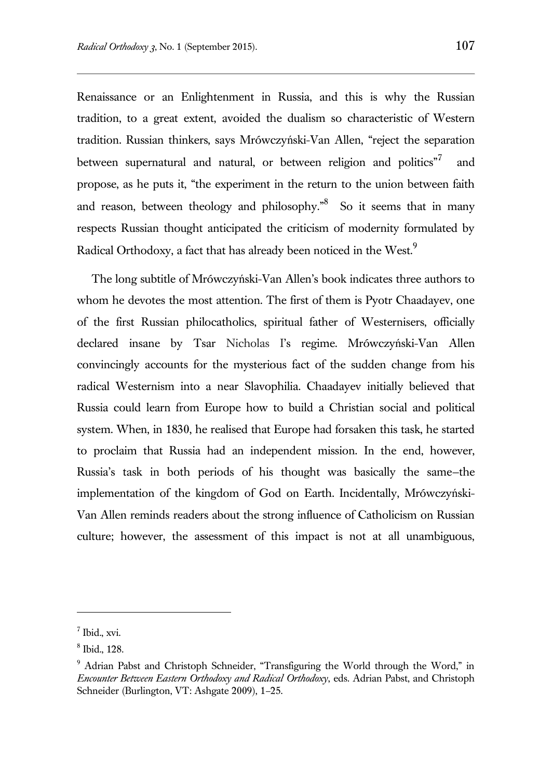Renaissance or an Enlightenment in Russia, and this is why the Russian tradition, to a great extent, avoided the dualism so characteristic of Western tradition. Russian thinkers, says Mrówczyński-Van Allen, "reject the separation between supernatural and natural, or between religion and politics"<sup>7</sup> and propose, as he puts it, "the experiment in the return to the union between faith and reason, between theology and philosophy.<sup>"8</sup> So it seems that in many respects Russian thought anticipated the criticism of modernity formulated by Radical Orthodoxy, a fact that has already been noticed in the West.<sup>9</sup>

The long subtitle of Mrówczyński-Van Allen's book indicates three authors to whom he devotes the most attention. The first of them is Pyotr Chaadayev, one of the first Russian philocatholics, spiritual father of Westernisers, officially declared insane by Tsar Nicholas I's regime. Mrówczyński-Van Allen convincingly accounts for the mysterious fact of the sudden change from his radical Westernism into a near Slavophilia. Chaadayev initially believed that Russia could learn from Europe how to build a Christian social and political system. When, in 1830, he realised that Europe had forsaken this task, he started to proclaim that Russia had an independent mission. In the end, however, Russia's task in both periods of his thought was basically the same—the implementation of the kingdom of God on Earth. Incidentally, Mrówczyński-Van Allen reminds readers about the strong influence of Catholicism on Russian culture; however, the assessment of this impact is not at all unambiguous,

<sup>7</sup> Ibid., xvi.

<sup>8</sup> Ibid., 128.

<sup>&</sup>lt;sup>9</sup> Adrian Pabst and Christoph Schneider, "Transfiguring the World through the Word," in *Encounter Between Eastern Orthodoxy and Radical Orthodoxy*, eds. Adrian Pabst, and Christoph Schneider (Burlington, VT: Ashgate 2009), 1–25.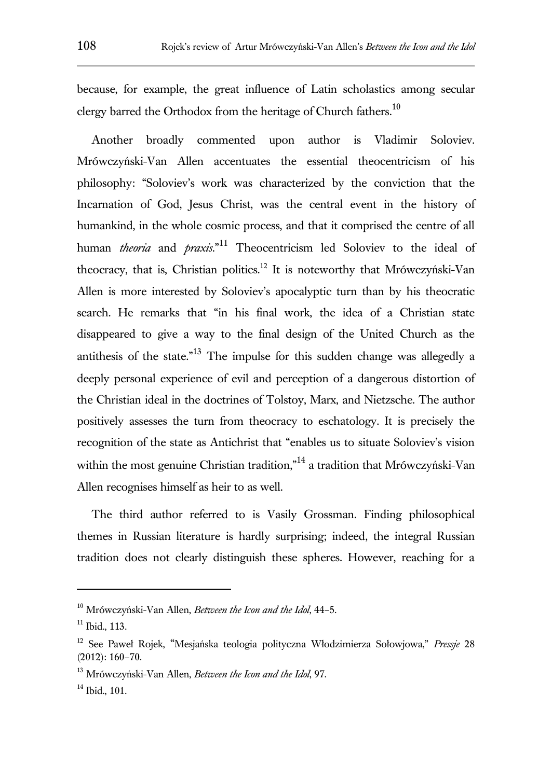because, for example, the great influence of Latin scholastics among secular clergy barred the Orthodox from the heritage of Church fathers.<sup>10</sup>

Another broadly commented upon author is Vladimir Soloviev. Mrówczyński-Van Allen accentuates the essential theocentricism of his philosophy: "Soloviev's work was characterized by the conviction that the Incarnation of God, Jesus Christ, was the central event in the history of humankind, in the whole cosmic process, and that it comprised the centre of all human *theoria* and *praxis*." <sup>11</sup> Theocentricism led Soloviev to the ideal of theocracy, that is, Christian politics.<sup>12</sup> It is noteworthy that Mrówczyński-Van Allen is more interested by Soloviev's apocalyptic turn than by his theocratic search. He remarks that "in his final work, the idea of a Christian state disappeared to give a way to the final design of the United Church as the antithesis of the state."<sup>13</sup> The impulse for this sudden change was allegedly a deeply personal experience of evil and perception of a dangerous distortion of the Christian ideal in the doctrines of Tolstoy, Marx, and Nietzsche. The author positively assesses the turn from theocracy to eschatology. It is precisely the recognition of the state as Antichrist that "enables us to situate Soloviev's vision within the most genuine Christian tradition,"<sup>14</sup> a tradition that Mrówczyński-Van Allen recognises himself as heir to as well.

The third author referred to is Vasily Grossman. Finding philosophical themes in Russian literature is hardly surprising; indeed, the integral Russian tradition does not clearly distinguish these spheres. However, reaching for a

<sup>10</sup> Mrówczyński-Van Allen, *Between the Icon and the Idol*, 44–5.

 $11$  Ibid., 113.

<sup>12</sup> See Paweł Rojek, "Mesjańska teologia polityczna Włodzimierza Sołowjowa," *Pressje* 28 (2012): 160–70.

<sup>13</sup> Mrówczyński-Van Allen, *Between the Icon and the Idol*, 97.

 $14$  Ibid., 101.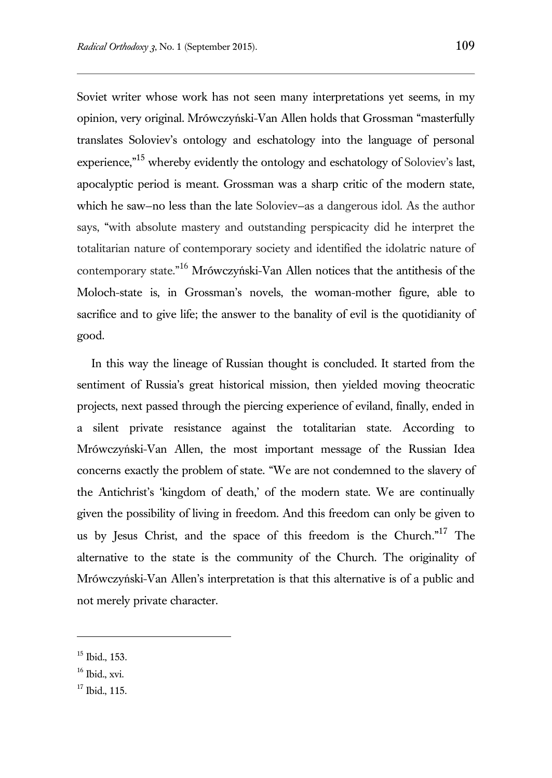Soviet writer whose work has not seen many interpretations yet seems, in my opinion, very original. Mrówczyński-Van Allen holds that Grossman "masterfully translates Soloviev's ontology and eschatology into the language of personal experience,"<sup>15</sup> whereby evidently the ontology and eschatology of Soloviev's last, apocalyptic period is meant. Grossman was a sharp critic of the modern state, which he saw—no less than the late Soloviev—as a dangerous idol. As the author says, "with absolute mastery and outstanding perspicacity did he interpret the totalitarian nature of contemporary society and identified the idolatric nature of contemporary state." <sup>16</sup> Mrówczyński-Van Allen notices that the antithesis of the Moloch-state is, in Grossman's novels, the woman-mother figure, able to sacrifice and to give life; the answer to the banality of evil is the quotidianity of good.

In this way the lineage of Russian thought is concluded. It started from the sentiment of Russia's great historical mission, then yielded moving theocratic projects, next passed through the piercing experience of eviland, finally, ended in a silent private resistance against the totalitarian state. According to Mrówczyński-Van Allen, the most important message of the Russian Idea concerns exactly the problem of state. "We are not condemned to the slavery of the Antichrist's 'kingdom of death,' of the modern state. We are continually given the possibility of living in freedom. And this freedom can only be given to us by Jesus Christ, and the space of this freedom is the Church."<sup>17</sup> The alternative to the state is the community of the Church. The originality of Mrówczyński-Van Allen's interpretation is that this alternative is of a public and not merely private character.

<sup>15</sup> Ibid., 153.

 $16$  Ibid., xvi.

 $17$  Ibid., 115.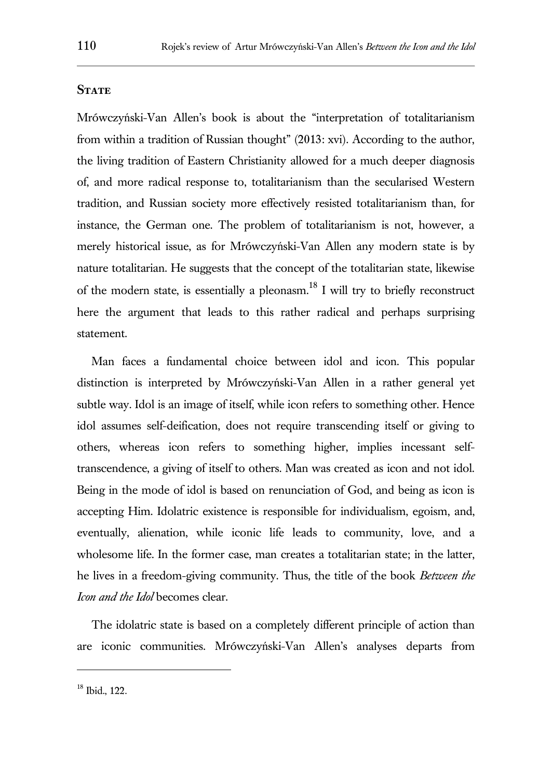#### **STATE**

Mrówczyński-Van Allen's book is about the "interpretation of totalitarianism from within a tradition of Russian thought" (2013: xvi). According to the author, the living tradition of Eastern Christianity allowed for a much deeper diagnosis of, and more radical response to, totalitarianism than the secularised Western tradition, and Russian society more effectively resisted totalitarianism than, for instance, the German one. The problem of totalitarianism is not, however, a merely historical issue, as for Mrówczyński-Van Allen any modern state is by nature totalitarian. He suggests that the concept of the totalitarian state, likewise of the modern state, is essentially a pleonasm.<sup>18</sup> I will try to briefly reconstruct here the argument that leads to this rather radical and perhaps surprising statement.

Man faces a fundamental choice between idol and icon. This popular distinction is interpreted by Mrówczyński-Van Allen in a rather general yet subtle way. Idol is an image of itself, while icon refers to something other. Hence idol assumes self-deification, does not require transcending itself or giving to others, whereas icon refers to something higher, implies incessant selftranscendence, a giving of itself to others. Man was created as icon and not idol. Being in the mode of idol is based on renunciation of God, and being as icon is accepting Him. Idolatric existence is responsible for individualism, egoism, and, eventually, alienation, while iconic life leads to community, love, and a wholesome life. In the former case, man creates a totalitarian state; in the latter, he lives in a freedom-giving community. Thus, the title of the book *Between the Icon and the Idol* becomes clear.

The idolatric state is based on a completely different principle of action than are iconic communities. Mrówczyński-Van Allen's analyses departs from

<sup>18</sup> Ibid., 122.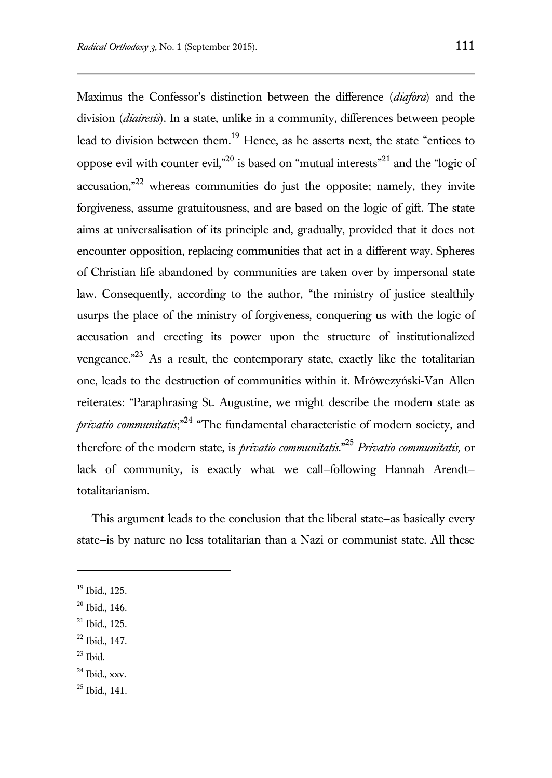Maximus the Confessor's distinction between the difference (*diafora*) and the division (*diairesis*). In a state, unlike in a community, differences between people lead to division between them.<sup>19</sup> Hence, as he asserts next, the state "entices to oppose evil with counter evil,"<sup>20</sup> is based on "mutual interests"<sup>21</sup> and the "logic of accusation, $n^{22}$  whereas communities do just the opposite; namely, they invite forgiveness, assume gratuitousness, and are based on the logic of gift. The state aims at universalisation of its principle and, gradually, provided that it does not encounter opposition, replacing communities that act in a different way. Spheres of Christian life abandoned by communities are taken over by impersonal state law. Consequently, according to the author, "the ministry of justice stealthily usurps the place of the ministry of forgiveness, conquering us with the logic of accusation and erecting its power upon the structure of institutionalized vengeance. $n^{23}$  As a result, the contemporary state, exactly like the totalitarian one, leads to the destruction of communities within it. Mrówczyński-Van Allen reiterates: "Paraphrasing St. Augustine, we might describe the modern state as *privatio communitatis*;" <sup>24</sup> "The fundamental characteristic of modern society, and therefore of the modern state, is *privatio communitatis*." <sup>25</sup> *Privatio communitatis,* or lack of community, is exactly what we call—following Hannah Arendt totalitarianism.

This argument leads to the conclusion that the liberal state—as basically every state—is by nature no less totalitarian than a Nazi or communist state. All these

l

 $23$  Ibid.

 $25$  Ibid., 141.

<sup>19</sup> Ibid., 125.

 $20$  Ibid., 146.

 $21$  Ibid., 125.

<sup>22</sup> Ibid., 147.

 $24$  Ibid., xxv.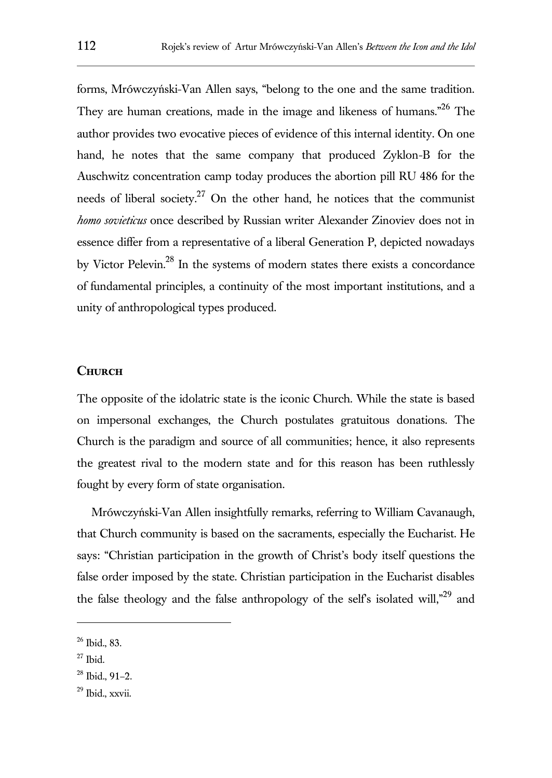forms, Mrówczyński-Van Allen says, "belong to the one and the same tradition. They are human creations, made in the image and likeness of humans."<sup>26</sup> The author provides two evocative pieces of evidence of this internal identity. On one hand, he notes that the same company that produced Zyklon-B for the Auschwitz concentration camp today produces the abortion pill RU 486 for the needs of liberal society.<sup>27</sup> On the other hand, he notices that the communist *homo sovieticus* once described by Russian writer Alexander Zinoviev does not in essence differ from a representative of a liberal Generation P, depicted nowadays by Victor Pelevin.<sup>28</sup> In the systems of modern states there exists a concordance of fundamental principles, a continuity of the most important institutions, and a unity of anthropological types produced.

#### **Church**

The opposite of the idolatric state is the iconic Church. While the state is based on impersonal exchanges, the Church postulates gratuitous donations. The Church is the paradigm and source of all communities; hence, it also represents the greatest rival to the modern state and for this reason has been ruthlessly fought by every form of state organisation.

Mrówczyński-Van Allen insightfully remarks, referring to William Cavanaugh, that Church community is based on the sacraments, especially the Eucharist. He says: "Christian participation in the growth of Christ's body itself questions the false order imposed by the state. Christian participation in the Eucharist disables the false theology and the false anthropology of the self's isolated will, $n^{29}$  and

<sup>26</sup> Ibid., 83.

 $27$  Ibid.

<sup>28</sup> Ibid., 91–2.

<sup>29</sup> Ibid., xxvii.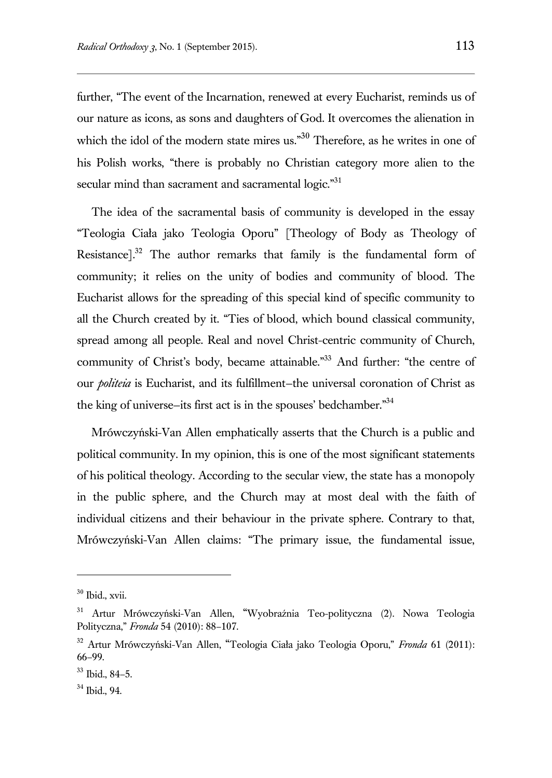further, "The event of the Incarnation, renewed at every Eucharist, reminds us of our nature as icons, as sons and daughters of God. It overcomes the alienation in which the idol of the modern state mires us."<sup>30</sup> Therefore, as he writes in one of his Polish works, "there is probably no Christian category more alien to the secular mind than sacrament and sacramental logic."<sup>31</sup>

The idea of the sacramental basis of community is developed in the essay "Teologia Ciała jako Teologia Oporu" [Theology of Body as Theology of Resistance].<sup>32</sup> The author remarks that family is the fundamental form of community; it relies on the unity of bodies and community of blood. The Eucharist allows for the spreading of this special kind of specific community to all the Church created by it. "Ties of blood, which bound classical community, spread among all people. Real and novel Christ-centric community of Church, community of Christ's body, became attainable."<sup>33</sup> And further: "the centre of our *politeia* is Eucharist, and its fulfillment—the universal coronation of Christ as the king of universe—its first act is in the spouses' bedchamber."<sup>34</sup>

Mrówczyński-Van Allen emphatically asserts that the Church is a public and political community. In my opinion, this is one of the most significant statements of his political theology. According to the secular view, the state has a monopoly in the public sphere, and the Church may at most deal with the faith of individual citizens and their behaviour in the private sphere. Contrary to that, Mrówczyński-Van Allen claims: "The primary issue, the fundamental issue,

<sup>30</sup> Ibid., xvii.

<sup>31</sup> Artur Mrówczyński-Van Allen, "Wyobraźnia Teo-polityczna (2). Nowa Teologia Polityczna," *Fronda* 54 (2010): 88–107.

<sup>32</sup> Artur Mrówczyński-Van Allen, "Teologia Ciała jako Teologia Oporu," *Fronda* 61 (2011): 66–99.

 $33$  Ibid., 84–5.

<sup>34</sup> Ibid., 94.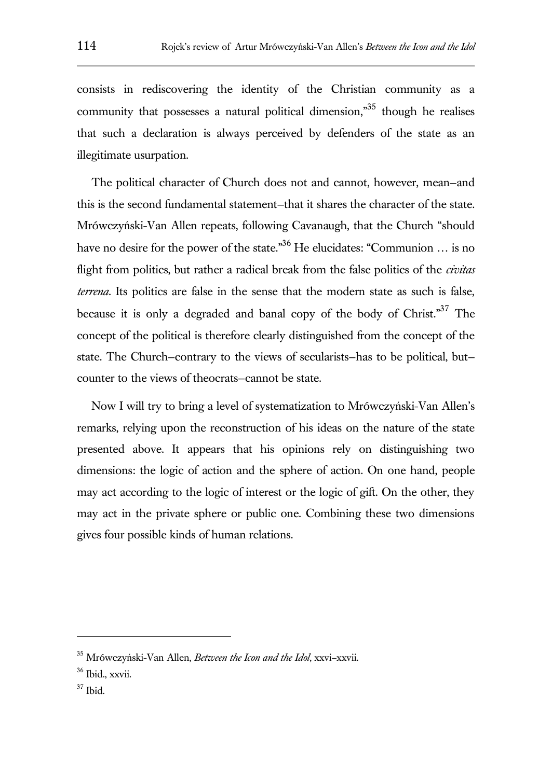consists in rediscovering the identity of the Christian community as a community that possesses a natural political dimension,"<sup>35</sup> though he realises that such a declaration is always perceived by defenders of the state as an illegitimate usurpation.

The political character of Church does not and cannot, however, mean—and this is the second fundamental statement—that it shares the character of the state. Mrówczyński-Van Allen repeats, following Cavanaugh, that the Church "should have no desire for the power of the state."<sup>36</sup> He elucidates: "Communion ... is no flight from politics, but rather a radical break from the false politics of the *civitas terrena*. Its politics are false in the sense that the modern state as such is false, because it is only a degraded and banal copy of the body of Christ."<sup>37</sup> The concept of the political is therefore clearly distinguished from the concept of the state. The Church—contrary to the views of secularists—has to be political, but counter to the views of theocrats—cannot be state.

Now I will try to bring a level of systematization to Mrówczyński-Van Allen's remarks, relying upon the reconstruction of his ideas on the nature of the state presented above. It appears that his opinions rely on distinguishing two dimensions: the logic of action and the sphere of action. On one hand, people may act according to the logic of interest or the logic of gift. On the other, they may act in the private sphere or public one. Combining these two dimensions gives four possible kinds of human relations.

 $37$  Ibid.

<sup>35</sup> Mrówczyński-Van Allen, *Between the Icon and the Idol*, xxvi–xxvii.

 $36$  Ibid., xxvii.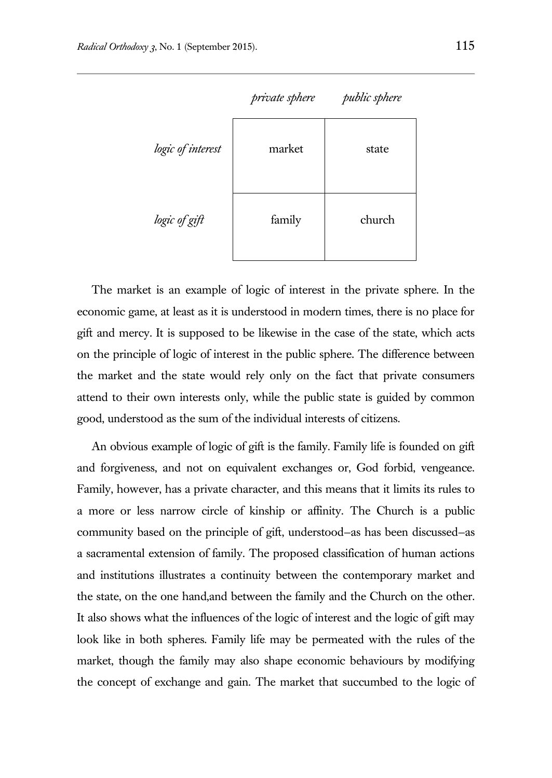

The market is an example of logic of interest in the private sphere. In the economic game, at least as it is understood in modern times, there is no place for gift and mercy. It is supposed to be likewise in the case of the state, which acts on the principle of logic of interest in the public sphere. The difference between the market and the state would rely only on the fact that private consumers attend to their own interests only, while the public state is guided by common good, understood as the sum of the individual interests of citizens.

An obvious example of logic of gift is the family. Family life is founded on gift and forgiveness, and not on equivalent exchanges or, God forbid, vengeance. Family, however, has a private character, and this means that it limits its rules to a more or less narrow circle of kinship or affinity. The Church is a public community based on the principle of gift, understood—as has been discussed—as a sacramental extension of family. The proposed classification of human actions and institutions illustrates a continuity between the contemporary market and the state, on the one hand,and between the family and the Church on the other. It also shows what the influences of the logic of interest and the logic of gift may look like in both spheres. Family life may be permeated with the rules of the market, though the family may also shape economic behaviours by modifying the concept of exchange and gain. The market that succumbed to the logic of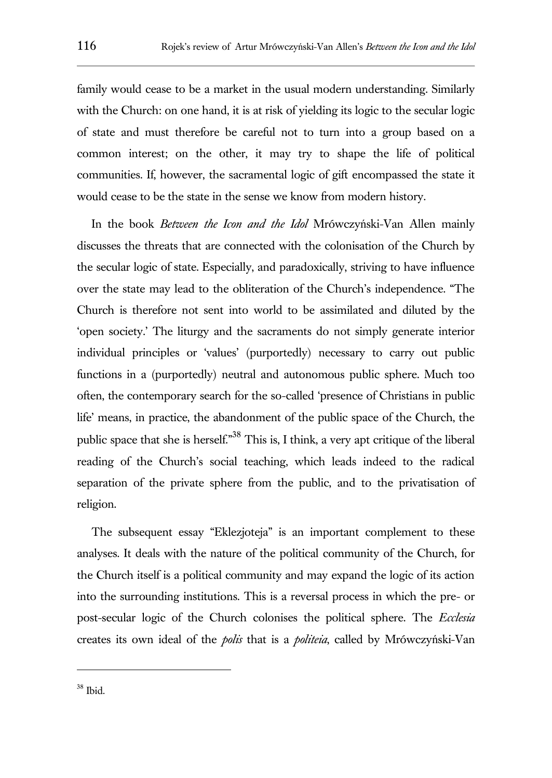family would cease to be a market in the usual modern understanding. Similarly with the Church: on one hand, it is at risk of yielding its logic to the secular logic of state and must therefore be careful not to turn into a group based on a common interest; on the other, it may try to shape the life of political communities. If, however, the sacramental logic of gift encompassed the state it would cease to be the state in the sense we know from modern history.

In the book *Between the Icon and the Idol* Mrówczyński-Van Allen mainly discusses the threats that are connected with the colonisation of the Church by the secular logic of state. Especially, and paradoxically, striving to have influence over the state may lead to the obliteration of the Church's independence. "The Church is therefore not sent into world to be assimilated and diluted by the 'open society.' The liturgy and the sacraments do not simply generate interior individual principles or 'values' (purportedly) necessary to carry out public functions in a (purportedly) neutral and autonomous public sphere. Much too often, the contemporary search for the so-called 'presence of Christians in public life' means, in practice, the abandonment of the public space of the Church, the public space that she is herself."<sup>38</sup> This is, I think, a very apt critique of the liberal reading of the Church's social teaching, which leads indeed to the radical separation of the private sphere from the public, and to the privatisation of religion.

The subsequent essay "Eklezjoteja" is an important complement to these analyses. It deals with the nature of the political community of the Church, for the Church itself is a political community and may expand the logic of its action into the surrounding institutions. This is a reversal process in which the pre- or post-secular logic of the Church colonises the political sphere. The *Ecclesia* creates its own ideal of the *polis* that is a *politeia*, called by Mrówczyński-Van

<sup>38</sup> Ibid.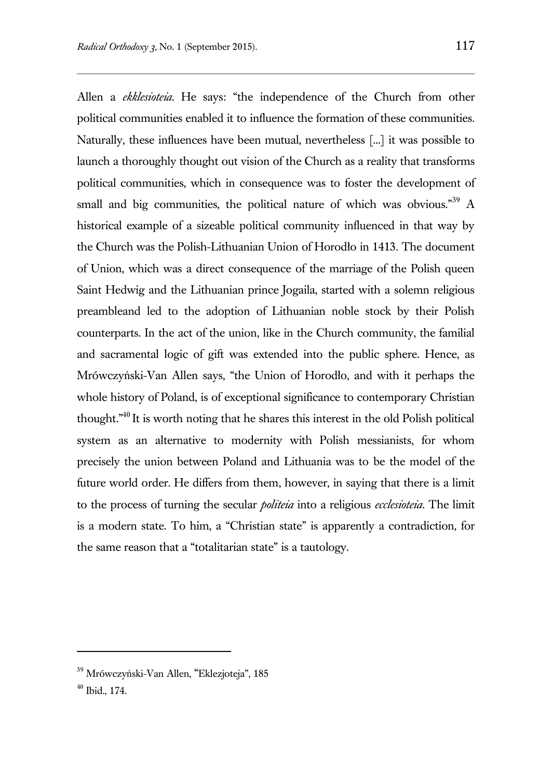Allen a *ekklesioteia*. He says: "the independence of the Church from other political communities enabled it to influence the formation of these communities. Naturally, these influences have been mutual, nevertheless [...] it was possible to launch a thoroughly thought out vision of the Church as a reality that transforms political communities, which in consequence was to foster the development of small and big communities, the political nature of which was obvious.<sup>39</sup> A historical example of a sizeable political community influenced in that way by the Church was the Polish-Lithuanian Union of Horodło in 1413. The document of Union, which was a direct consequence of the marriage of the Polish queen Saint Hedwig and the Lithuanian prince Jogaila, started with a solemn religious preambleand led to the adoption of Lithuanian noble stock by their Polish counterparts. In the act of the union, like in the Church community, the familial and sacramental logic of gift was extended into the public sphere. Hence, as Mrówczyński-Van Allen says, "the Union of Horodło, and with it perhaps the whole history of Poland, is of exceptional significance to contemporary Christian thought."<sup>40</sup> It is worth noting that he shares this interest in the old Polish political system as an alternative to modernity with Polish messianists, for whom precisely the union between Poland and Lithuania was to be the model of the future world order. He differs from them, however, in saying that there is a limit to the process of turning the secular *politeia* into a religious *ecclesioteia*. The limit is a modern state. To him, a "Christian state" is apparently a contradiction, for the same reason that a "totalitarian state" is a tautology.

<sup>39</sup> Mrówczyński-Van Allen, "Eklezjoteja", 185

<sup>40</sup> Ibid., 174.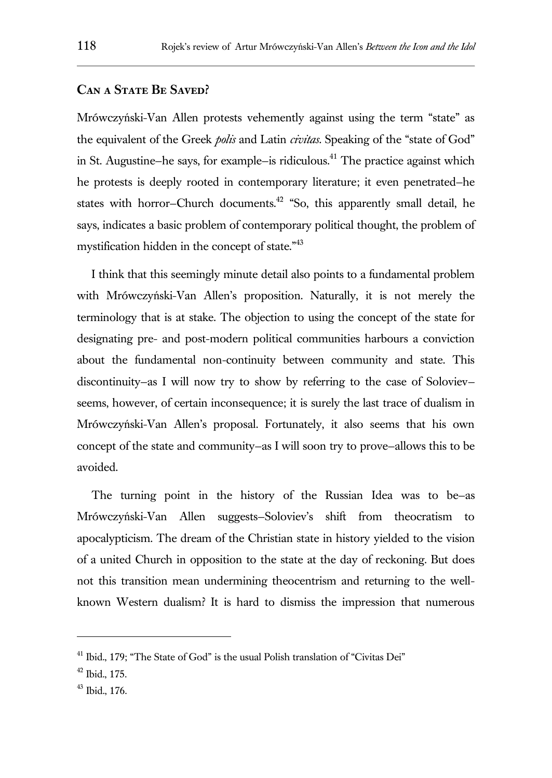#### **Can a State Be Saved?**

Mrówczyński-Van Allen protests vehemently against using the term "state" as the equivalent of the Greek *polis* and Latin *civitas*. Speaking of the "state of God" in St. Augustine–he says, for example–is ridiculous.<sup>41</sup> The practice against which he protests is deeply rooted in contemporary literature; it even penetrated—he states with horror–Church documents.<sup>42</sup> "So, this apparently small detail, he says, indicates a basic problem of contemporary political thought, the problem of mystification hidden in the concept of state."<sup>43</sup>

I think that this seemingly minute detail also points to a fundamental problem with Mrówczyński-Van Allen's proposition. Naturally, it is not merely the terminology that is at stake. The objection to using the concept of the state for designating pre- and post-modern political communities harbours a conviction about the fundamental non-continuity between community and state. This discontinuity—as I will now try to show by referring to the case of Soloviev seems, however, of certain inconsequence; it is surely the last trace of dualism in Mrówczyński-Van Allen's proposal. Fortunately, it also seems that his own concept of the state and community—as I will soon try to prove—allows this to be avoided.

The turning point in the history of the Russian Idea was to be—as Mrówczyński-Van Allen suggests—Soloviev's shift from theocratism to apocalypticism. The dream of the Christian state in history yielded to the vision of a united Church in opposition to the state at the day of reckoning. But does not this transition mean undermining theocentrism and returning to the wellknown Western dualism? It is hard to dismiss the impression that numerous

<sup>&</sup>lt;sup>41</sup> Ibid., 179; "The State of God" is the usual Polish translation of "Civitas Dei"

 $42$  Ibid., 175.

<sup>43</sup> Ibid., 176.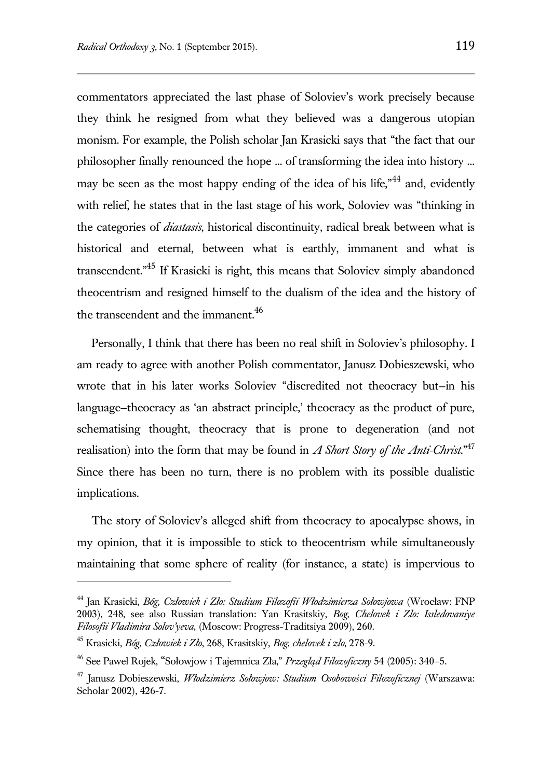commentators appreciated the last phase of Soloviev's work precisely because they think he resigned from what they believed was a dangerous utopian monism. For example, the Polish scholar Jan Krasicki says that "the fact that our philosopher finally renounced the hope ... of transforming the idea into history ... may be seen as the most happy ending of the idea of his life.<sup> $n<sup>44</sup>$ </sup> and, evidently with relief, he states that in the last stage of his work, Soloviev was "thinking in the categories of *diastasis*, historical discontinuity, radical break between what is historical and eternal, between what is earthly, immanent and what is transcendent."<sup>45</sup> If Krasicki is right, this means that Soloviev simply abandoned theocentrism and resigned himself to the dualism of the idea and the history of the transcendent and the immanent.<sup>46</sup>

Personally, I think that there has been no real shift in Soloviev's philosophy. I am ready to agree with another Polish commentator, Janusz Dobieszewski, who wrote that in his later works Soloviev "discredited not theocracy but—in his language—theocracy as 'an abstract principle,' theocracy as the product of pure, schematising thought, theocracy that is prone to degeneration (and not realisation) into the form that may be found in *A Short Story of the Anti-Christ*."<sup>47</sup> Since there has been no turn, there is no problem with its possible dualistic implications.

The story of Soloviev's alleged shift from theocracy to apocalypse shows, in my opinion, that it is impossible to stick to theocentrism while simultaneously maintaining that some sphere of reality (for instance, a state) is impervious to

<sup>44</sup> Jan Krasicki, *Bóg, Człowiek i Zło: Studium Filozofii Włodzimierza Sołowjowa* (Wrocław: FNP 2003), 248, see also Russian translation: Yan Krasitskiy, *Bog, Chelovek i Zlo: Issledovaniye Filosofii Vladimira Solov'yeva*, (Moscow: Progress-Traditsiya 2009), 260.

<sup>45</sup> Krasicki, *Bóg, Człowiek i Zło*, 268, Krasitskiy, *Bog, chelovek i zlo*, 278-9.

<sup>46</sup> See Paweł Rojek, "Sołowjow i Tajemnica Zła," *Przegląd Filozoficzny* 54 (2005): 340–5.

<sup>47</sup> Janusz Dobieszewski, *Włodzimierz Sołowjow: Studium Osobowości Filozoficznej* (Warszawa: Scholar 2002), 426-7.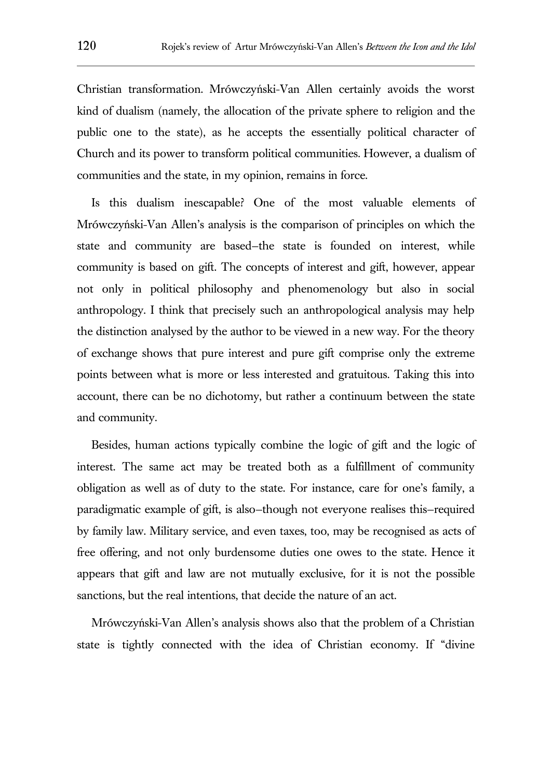Christian transformation. Mrówczyński-Van Allen certainly avoids the worst kind of dualism (namely, the allocation of the private sphere to religion and the public one to the state), as he accepts the essentially political character of Church and its power to transform political communities. However, a dualism of communities and the state, in my opinion, remains in force.

Is this dualism inescapable? One of the most valuable elements of Mrówczyński-Van Allen's analysis is the comparison of principles on which the state and community are based—the state is founded on interest, while community is based on gift. The concepts of interest and gift, however, appear not only in political philosophy and phenomenology but also in social anthropology. I think that precisely such an anthropological analysis may help the distinction analysed by the author to be viewed in a new way. For the theory of exchange shows that pure interest and pure gift comprise only the extreme points between what is more or less interested and gratuitous. Taking this into account, there can be no dichotomy, but rather a continuum between the state and community.

Besides, human actions typically combine the logic of gift and the logic of interest. The same act may be treated both as a fulfillment of community obligation as well as of duty to the state. For instance, care for one's family, a paradigmatic example of gift, is also—though not everyone realises this—required by family law. Military service, and even taxes, too, may be recognised as acts of free offering, and not only burdensome duties one owes to the state. Hence it appears that gift and law are not mutually exclusive, for it is not the possible sanctions, but the real intentions, that decide the nature of an act.

Mrówczyński-Van Allen's analysis shows also that the problem of a Christian state is tightly connected with the idea of Christian economy. If "divine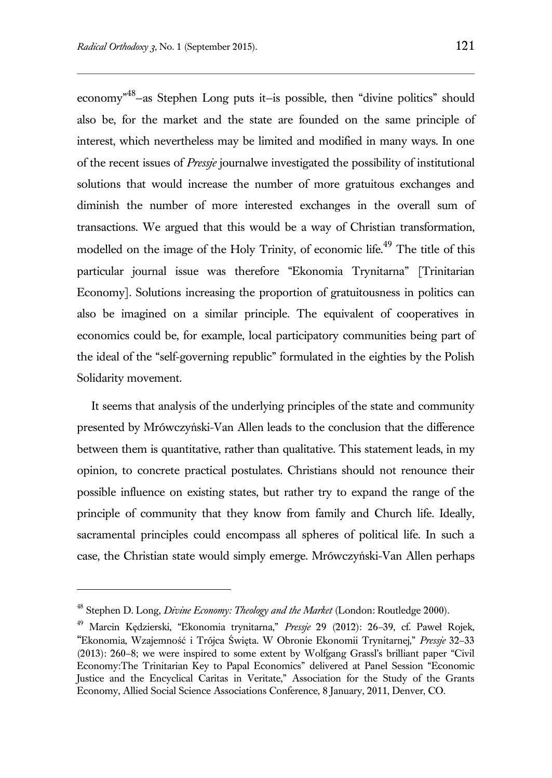economy"<sup>48</sup> —as Stephen Long puts it—is possible, then "divine politics" should also be, for the market and the state are founded on the same principle of interest, which nevertheless may be limited and modified in many ways. In one of the recent issues of *Pressje* journalwe investigated the possibility of institutional solutions that would increase the number of more gratuitous exchanges and diminish the number of more interested exchanges in the overall sum of transactions. We argued that this would be a way of Christian transformation, modelled on the image of the Holy Trinity, of economic life.<sup>49</sup> The title of this particular journal issue was therefore "Ekonomia Trynitarna" [Trinitarian Economy]. Solutions increasing the proportion of gratuitousness in politics can also be imagined on a similar principle. The equivalent of cooperatives in economics could be, for example, local participatory communities being part of the ideal of the "self-governing republic" formulated in the eighties by the Polish Solidarity movement.

It seems that analysis of the underlying principles of the state and community presented by Mrówczyński-Van Allen leads to the conclusion that the difference between them is quantitative, rather than qualitative. This statement leads, in my opinion, to concrete practical postulates. Christians should not renounce their possible influence on existing states, but rather try to expand the range of the principle of community that they know from family and Church life. Ideally, sacramental principles could encompass all spheres of political life. In such a case, the Christian state would simply emerge. Mrówczyński-Van Allen perhaps

<sup>48</sup> Stephen D. Long, *Divine Economy: Theology and the Market* (London: Routledge 2000).

<sup>49</sup> Marcin Kędzierski, "Ekonomia trynitarna," *Pressje* 29 (2012): 26–39, cf. Paweł Rojek, "Ekonomia, Wzajemność i Trójca Święta. W Obronie Ekonomii Trynitarnej," *Pressje* 32–33 (2013): 260–8; we were inspired to some extent by Wolfgang Grassl's brilliant paper "Civil Economy:The Trinitarian Key to Papal Economics" delivered at Panel Session "Economic Justice and the Encyclical Caritas in Veritate," Association for the Study of the Grants Economy, Allied Social Science Associations Conference, 8 January, 2011, Denver, CO.